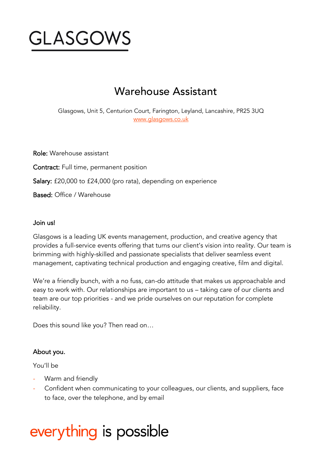

# Warehouse Assistant

Glasgows, Unit 5, Centurion Court, Farington, Leyland, Lancashire, PR25 3UQ [www.glasgows.co.uk](http://www.glasgows.co.uk/)

Role: Warehouse assistant Contract: Full time, permanent position Salary: £20,000 to £24,000 (pro rata), depending on experience Based: Office / Warehouse

#### Join us!

Glasgows is a leading UK events management, production, and creative agency that provides a full-service events offering that turns our client's vision into reality. Our team is brimming with highly-skilled and passionate specialists that deliver seamless event management, captivating technical production and engaging creative, film and digital.

We're a friendly bunch, with a no fuss, can-do attitude that makes us approachable and easy to work with. Our relationships are important to us – taking care of our clients and team are our top priorities - and we pride ourselves on our reputation for complete reliability.

Does this sound like you? Then read on…

### About you.

You'll be

- Warm and friendly
- Confident when communicating to your colleagues, our clients, and suppliers, face to face, over the telephone, and by email

# everything is possible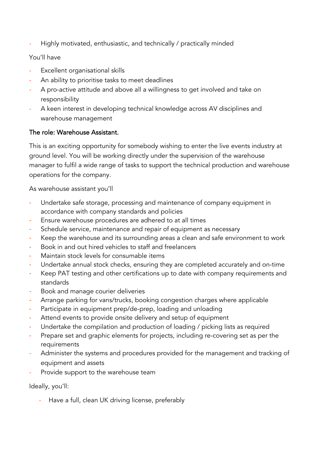Highly motivated, enthusiastic, and technically / practically minded

# You'll have

- Excellent organisational skills
- An ability to prioritise tasks to meet deadlines
- A pro-active attitude and above all a willingness to get involved and take on responsibility
- A keen interest in developing technical knowledge across AV disciplines and warehouse management

# The role: Warehouse Assistant.

This is an exciting opportunity for somebody wishing to enter the live events industry at ground level. You will be working directly under the supervision of the warehouse manager to fulfil a wide range of tasks to support the technical production and warehouse operations for the company.

As warehouse assistant you'll

- Undertake safe storage, processing and maintenance of company equipment in accordance with company standards and policies
- Ensure warehouse procedures are adhered to at all times
- Schedule service, maintenance and repair of equipment as necessary
- Keep the warehouse and its surrounding areas a clean and safe environment to work
- Book in and out hired vehicles to staff and freelancers
- Maintain stock levels for consumable items
- Undertake annual stock checks, ensuring they are completed accurately and on-time
- Keep PAT testing and other certifications up to date with company requirements and standards
- Book and manage courier deliveries
- Arrange parking for vans/trucks, booking congestion charges where applicable
- Participate in equipment prep/de-prep, loading and unloading
- Attend events to provide onsite delivery and setup of equipment
- Undertake the compilation and production of loading / picking lists as required
- Prepare set and graphic elements for projects, including re-covering set as per the requirements
- Administer the systems and procedures provided for the management and tracking of equipment and assets
- Provide support to the warehouse team

Ideally, you'll:

- Have a full, clean UK driving license, preferably